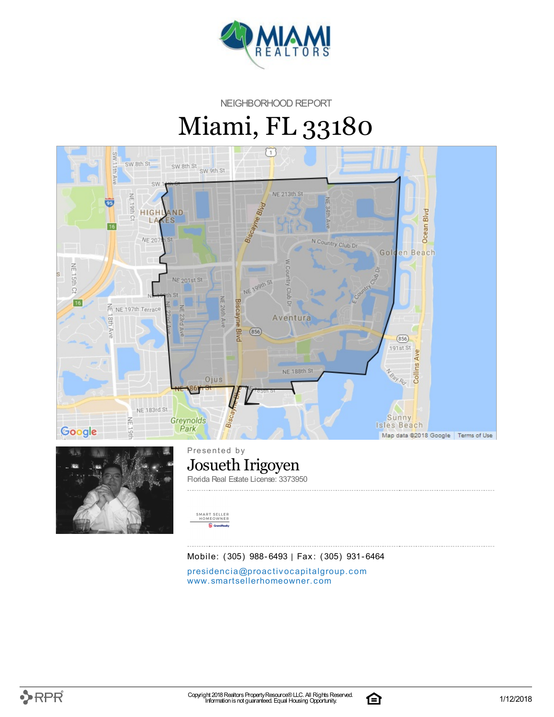

NEIGHBORHOOD REPORT

# Miami, FL 33180





Presented by Josueth Irigoyen Florida Real Estate License: 3373950



Mobile: (305) 988-6493 | Fax: (305) 931-6464

presidencia[@](mailto:presidencia@proactivocapitalgroup.com)proactivocapitalgroup.com [www.](http://www.smartsellerhomeowner.com)smartsellerhomeowner.com

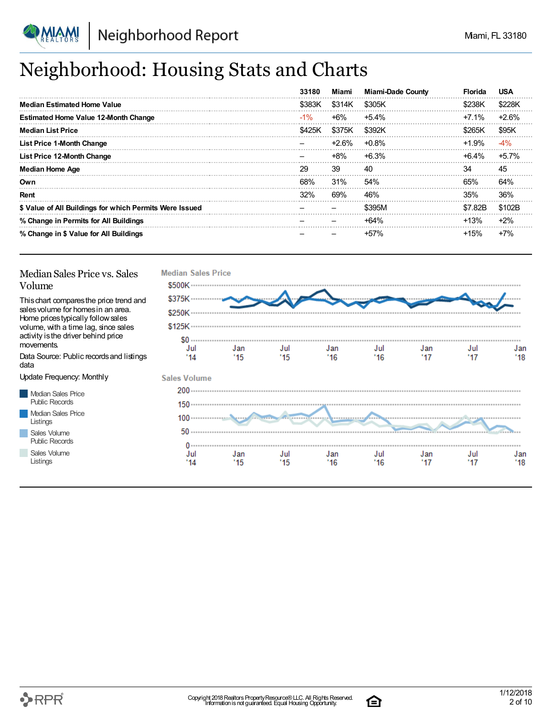

### Neighborhood: Housing Stats and Charts

|                                                         | 33180  | Miami  | <b>Miami-Dade County</b> | Florida  | <b>USA</b> |
|---------------------------------------------------------|--------|--------|--------------------------|----------|------------|
| <b>Median Estimated Home Value</b>                      | \$383K | \$314K | \$305K                   | \$238K   | \$228K     |
| <b>Estimated Home Value 12-Month Change</b>             | $-1\%$ | $+6\%$ | $+5.4\%$                 | $+7.1%$  | $+2.6%$    |
| <b>Median List Price</b>                                | \$425K | \$375K | \$392K                   | \$265K   | \$95K      |
| <b>List Price 1-Month Change</b>                        |        | +2.6%  | $+0.8\%$                 | $+1.9%$  | $-4%$      |
| <b>List Price 12-Month Change</b>                       |        | $+8\%$ | $+6.3%$                  | $+6.4\%$ | $+5.7%$    |
| <b>Median Home Age</b>                                  | 29     | 39     | 40                       | 34       | 45         |
| Own                                                     | 68%    | 31%    | 54%                      | 65%      | 64%        |
| Rent                                                    | 32%    | 69%    | 46%                      | 35%      | 36%        |
| \$ Value of All Buildings for which Permits Were Issued |        |        | \$395M                   | \$7.82B  | \$102B     |
| % Change in Permits for All Buildings                   |        |        | $+64%$                   | $+13%$   | $+2\%$     |
| % Change in \$ Value for All Buildings                  |        |        | $+57%$                   | $+15%$   | $+7%$      |

#### Median Sales Price vs. Sales Volume

Thischart comparesthe price trend and salesvolume for homesin an area. Home pricestypically followsales volume, with a time lag, since sales activity isthe driver behind price movements.

Data Source: Public recordsand listings data

Update Frequency: Monthly

Median Sales Price Public Records Median Sales Price Listings Sales Volume Public Records

Sales Volume Listings



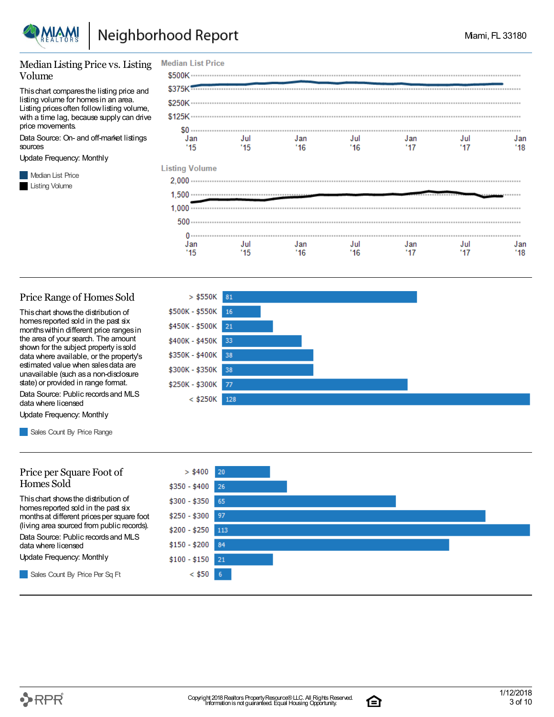

Jan

 $15$ 

#### Median Listing Price vs. Listing Volume

Thischart comparesthe listing price and listing volume for homesin an area. Listing prices often follow listing volume, with a time lag, because supply can drive price movements.

Data Source: On- and off-market listings sources

Update Frequency: Monthly

**Median List Price** Listing Volume

#### **Median List Price** Jan Jul Jan Jul Jan Jul Jan  $115$  $16$  $17$  $16'$  $17$  $'18$  $15$ **Listing Volume**

Jul

 $'16$ 

Jan

 $'17$ 

Jul

 $17$ 

Jan

 $'18$ 

#### Price Range of Homes Sold

Thischart showsthe distribution of homes reported sold in the past six monthswithin different price rangesin the area of your search. The amount shown for the subject property issold data where available, or the property's estimated value when salesdata are unavailable (such asa non-disclosure state) or provided in range format.

Data Source: Public recordsand MLS data where licensed

Update Frequency: Monthly

Sales Count By Price Range

#### $>$  \$550K 81 \$500K - \$550K 16 \$450K - \$500K 21 \$400K - \$450K 33 \$350K - \$400K 38 \$300K - \$350K 38 \$250K - \$300K 77 < \$250K 128

Jan

 $'16$ 

Jul

 $'15$ 



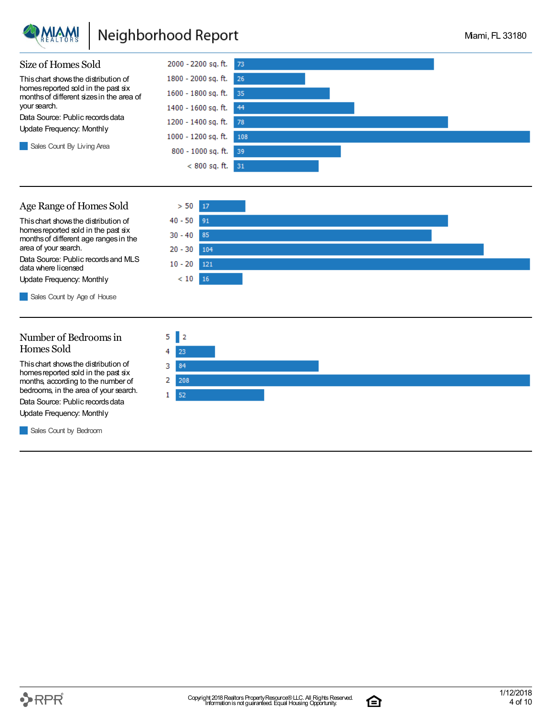

### Neighborhood Report

 $> 50$ 

 $40 - 50$ 

 $30 - 40$  $20 - 30$ 

 $10 - 20$ 

 $< 10$  16

17

91 85

104

 $121$ 



#### Age Range of Homes Sold

Thischart showsthe distribution of homes reported sold in the past six monthsof different age rangesin the area of your search.

Data Source: Public recordsand MLS data where licensed

Update Frequency: Monthly

Sales Count by Age of House

#### Number of Bedroomsin Homes Sold

Thischart showsthe distribution of homes reported sold in the past six months, according to the number of bedrooms, in the area of your search.

Data Source: Public records data

Update Frequency: Monthly

Sales Count by Bedroom



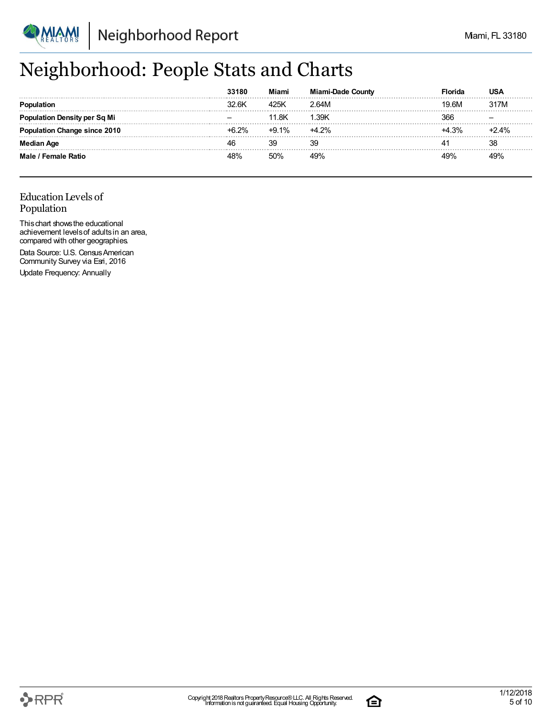

### Neighborhood: People Stats and Charts

|                           | 33180 | Miami   | <b>Miami-Dade County</b> | Florida | USA     |
|---------------------------|-------|---------|--------------------------|---------|---------|
|                           | 32.6K | 425K    | 2.64M                    | 19.6M   | 317M    |
| tion Density per Sq Mi    |       | 11.8K   | 1.39K                    | 366     |         |
| ulation Change since 2010 | +6 2% | $+9.1%$ | $+4.2%$                  | +4.3%   | $+2.4%$ |
| Median Age                | 4F    | 39      | 39                       | 41      | 38      |
| Male / Female Ratio       | 18%   | 50%     | 49%                      | 19%     | 19%     |

### Education Levels of Population

Thischart showsthe educational achievement levelsof adultsin an area, compared with other geographies. Data Source: U.S. Census American Community Survey via Esri, 2016

Update Frequency: Annually

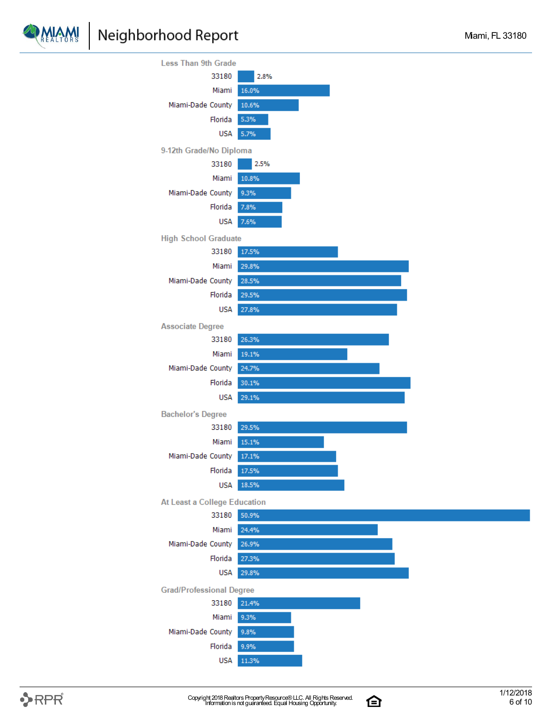



白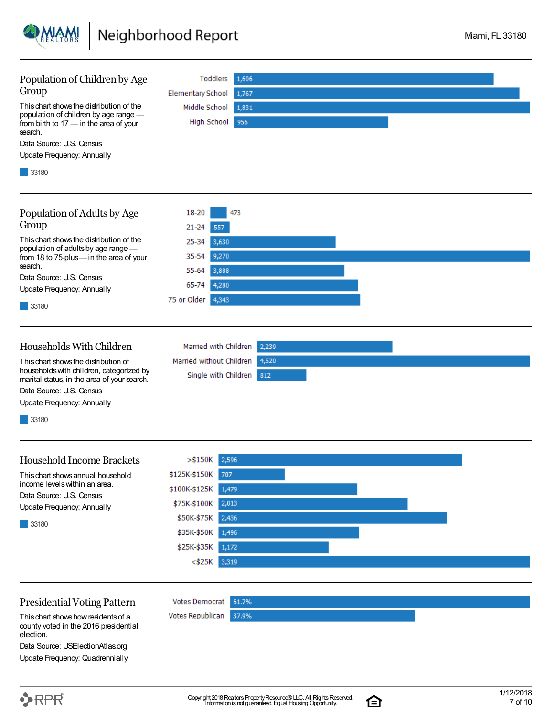

| Population of Children by Age                                                             | Toddlers<br>1,606                 |
|-------------------------------------------------------------------------------------------|-----------------------------------|
| Group                                                                                     | <b>Elementary School</b><br>1,767 |
| This chart shows the distribution of the                                                  | Middle School<br>1,831            |
| population of children by age range -<br>from birth to 17 - in the area of your           | High School 956                   |
| search.                                                                                   |                                   |
| Data Source: U.S. Census                                                                  |                                   |
| <b>Update Frequency: Annually</b>                                                         |                                   |
| 33180                                                                                     |                                   |
| Population of Adults by Age                                                               | 18-20<br>473                      |
| Group                                                                                     | $21 - 24$<br>557                  |
| This chart shows the distribution of the                                                  |                                   |
| population of adults by age range -                                                       | 25-34<br>3,630                    |
| from 18 to 75-plus-in the area of your<br>search.                                         | 35-54<br>9,270                    |
| Data Source: U.S. Census                                                                  | 55-64<br>3,888                    |
| Update Frequency: Annually                                                                | 65-74<br>4,280                    |
| 33180                                                                                     | 75 or Older<br>4,343              |
|                                                                                           |                                   |
| Households With Children                                                                  | Married with Children<br>2,239    |
| This chart shows the distribution of                                                      | Married without Children<br>4,520 |
| households with children, categorized by<br>marital status, in the area of your search.   | Single with Children<br>812       |
| Data Source: U.S. Census                                                                  |                                   |
| Update Frequency: Annually                                                                |                                   |
| 33180                                                                                     |                                   |
|                                                                                           |                                   |
| <b>Household Income Brackets</b>                                                          | >\$150K<br>2,596                  |
| This chart shows annual household<br>income levels within an area.                        | \$125K-\$150K<br>707              |
| Data Source: U.S. Census                                                                  | \$100K-\$125K<br>1,479            |
| Update Frequency: Annually                                                                | 2,013<br>\$75K-\$100K             |
| 33180                                                                                     | 2,436<br>\$50K-\$75K              |
|                                                                                           | \$35K-\$50K<br>1,496              |
|                                                                                           | \$25K-\$35K<br>1,172              |
|                                                                                           | 3,319<br><\$25K                   |
|                                                                                           |                                   |
| <b>Presidential Voting Pattern</b>                                                        | <b>Votes Democrat</b><br>61.7%    |
| This chart shows how residents of a<br>county voted in the 2016 presidential<br>election. | Votes Republican<br>37.9%         |
| Data Source: USElectionAtlas.org                                                          |                                   |



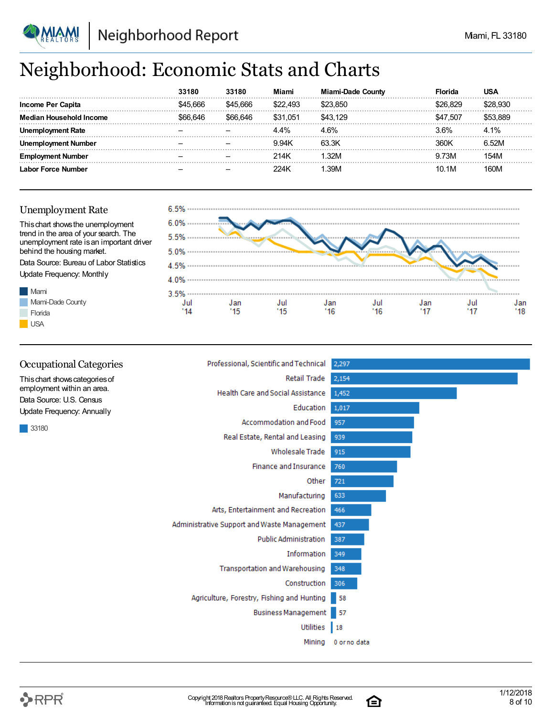

### Neighborhood: Economic Stats and Charts

|                                | 33180   | 33180    | Miami    | <b>Miami-Dade County</b> | Florida  | USA   |
|--------------------------------|---------|----------|----------|--------------------------|----------|-------|
| Income Per Capita              | 666     | 545 666  | \$22.493 |                          |          |       |
| <b>Median Household Income</b> | 666.646 | \$66.646 | \$31.051 | \$43.129                 | \$47,507 | 3.88S |
| : Rate                         |         |          | 4.4%     |                          | 3.6%     | 4.1%  |
| Number                         |         |          | 9.94K    | 63.3K                    | 360K     | 6.52M |
| Number                         |         |          | 214K     | 32M                      | 9.73M    |       |
| Labor Force Number             |         |          | 224K     | 39M                      | 10.1M    | 160M  |

#### Unemployment Rate

Mami

**Florida USA** 

Mami-Dade County



| <b>Occupational Categories</b>                               | Professional, Scientific and Technical      | 2,297        |
|--------------------------------------------------------------|---------------------------------------------|--------------|
| This chart shows categories of<br>employment within an area. | Retail Trade                                | 2,154        |
|                                                              | Health Care and Social Assistance           | 1,452        |
| Data Source: U.S. Census<br>Update Frequency: Annually       | Education                                   | 1,017        |
| 33180                                                        | Accommodation and Food                      | 957          |
|                                                              | Real Estate, Rental and Leasing             | 939          |
|                                                              | <b>Wholesale Trade</b>                      | 915          |
|                                                              | <b>Finance and Insurance</b>                | 760          |
|                                                              | Other                                       | 721          |
|                                                              | Manufacturing                               | 633          |
|                                                              | Arts, Entertainment and Recreation          | 466          |
|                                                              | Administrative Support and Waste Management | 437          |
|                                                              | <b>Public Administration</b>                | 387          |
|                                                              | Information                                 | 349          |
|                                                              | <b>Transportation and Warehousing</b>       | 348          |
|                                                              | Construction                                | 306          |
|                                                              | Agriculture, Forestry, Fishing and Hunting  | 58           |
|                                                              | Business Management                         | l 57         |
|                                                              | Utilities                                   | $\vert$ 18   |
|                                                              | Mining                                      | 0 or no data |

白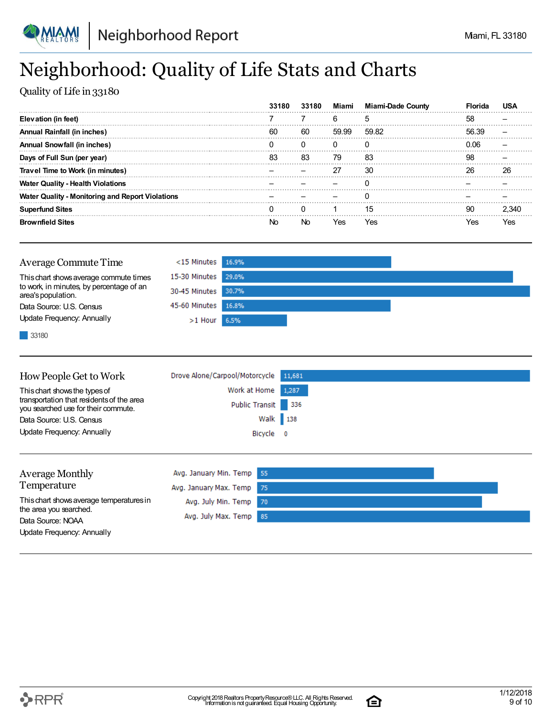

## Neighborhood: Quality of Life Stats and Charts

Quality of Life in 33180

|                                                         | 33180 | 33180 | Miami    | <b>Miami-Dade County</b> |       |     |
|---------------------------------------------------------|-------|-------|----------|--------------------------|-------|-----|
| Elevation (in feet)                                     |       |       | 6        |                          | 58    |     |
| Annual Rainfall (in inches)                             | 60    | 60    | 59.99    | 59.82                    | 56.39 |     |
| <b>Annual Snowfall (in inches)</b>                      |       |       | $^{(1)}$ |                          |       |     |
| Days of Full Sun (per year)                             | 83    | 83    | 79       | 83                       | 98    |     |
| Travel Time to Work (in minutes)                        |       |       | 27       | 30                       | 26    | 26  |
| <b>Water Quality - Health Violations</b>                |       |       |          |                          |       |     |
| <b>Water Quality - Monitoring and Report Violations</b> |       |       |          |                          |       |     |
| <b>Superfund Sites</b>                                  |       |       |          | 15                       | 90    |     |
| <b>Brownfield Sites</b>                                 | N۵    |       | res      | Yes                      |       | res |

| <b>Average Commute Time</b>                                    | $<$ 15 Minutes 16.9% |  |
|----------------------------------------------------------------|----------------------|--|
| This chart shows average commute times                         | 15-30 Minutes 29.0%  |  |
| to work, in minutes, by percentage of an<br>area's population. | 30-45 Minutes 30.7%  |  |
| Data Source: U.S. Census                                       | 45-60 Minutes 16.8%  |  |
| Update Frequency: Annually                                     | $>1$ Hour 6.5%       |  |
|                                                                |                      |  |

33180

| How People Get to Work                                                           | Drove Alone/Carpool/Motorcycle 11,681 |  |
|----------------------------------------------------------------------------------|---------------------------------------|--|
| This chart shows the types of                                                    | Work at Home 1,287                    |  |
| transportation that residents of the area<br>you searched use for their commute. | Public Transit 336                    |  |
| Data Source: U.S. Census                                                         | Walk 138                              |  |
| Update Frequency: Annually                                                       | Bicycle 0                             |  |
|                                                                                  |                                       |  |

| <b>Average Monthly</b>                      | Avg. January Min. Temp 55 |  |
|---------------------------------------------|---------------------------|--|
| Temperature                                 | Avg. January Max. Temp 75 |  |
| This chart shows average temperatures in    | Avg. July Min. Temp 70    |  |
| the area you searched.<br>Data Source: NOAA | Avg. July Max. Temp 85    |  |
| Update Frequency: Annually                  |                           |  |